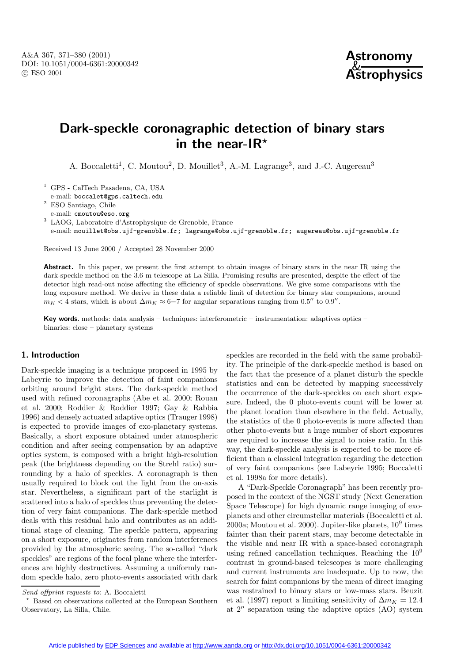

# **Dark-speckle coronagraphic detection of binary stars in the near-IR***?*

A. Boccaletti<sup>1</sup>, C. Moutou<sup>2</sup>, D. Mouillet<sup>3</sup>, A.-M. Lagrange<sup>3</sup>, and J.-C. Augereau<sup>3</sup>

<sup>1</sup> GPS - CalTech Pasadena, CA, USA

e-mail: boccalet@gps.caltech.edu

<sup>2</sup> ESO Santiago, Chile

e-mail: cmoutou@eso.org

<sup>3</sup> LAOG, Laboratoire d'Astrophysique de Grenoble, France

e-mail: mouillet@obs.ujf-grenoble.fr; lagrange@obs.ujf-grenoble.fr; augereau@obs.ujf-grenoble.fr

Received 13 June 2000 / Accepted 28 November 2000

Abstract. In this paper, we present the first attempt to obtain images of binary stars in the near IR using the dark-speckle method on the 3.6 m telescope at La Silla. Promising results are presented, despite the effect of the detector high read-out noise affecting the efficiency of speckle observations. We give some comparisons with the long exposure method. We derive in these data a reliable limit of detection for binary star companions, around  $m_K < 4$  stars, which is about  $\Delta m_K \approx 6-7$  for angular separations ranging from 0.5" to 0.9".

**Key words.** methods: data analysis – techniques: interferometric – instrumentation: adaptives optics – binaries: close – planetary systems

#### **1. Introduction**

Dark-speckle imaging is a technique proposed in 1995 by Labeyrie to improve the detection of faint companions orbiting around bright stars. The dark-speckle method used with refined coronagraphs (Abe et al. 2000; Rouan et al. 2000; Roddier & Roddier 1997; Gay & Rabbia 1996) and densely actuated adaptive optics (Trauger 1998) is expected to provide images of exo-planetary systems. Basically, a short exposure obtained under atmospheric condition and after seeing compensation by an adaptive optics system, is composed with a bright high-resolution peak (the brightness depending on the Strehl ratio) surrounding by a halo of speckles. A coronagraph is then usually required to block out the light from the on-axis star. Nevertheless, a significant part of the starlight is scattered into a halo of speckles thus preventing the detection of very faint companions. The dark-speckle method deals with this residual halo and contributes as an additional stage of cleaning. The speckle pattern, appearing on a short exposure, originates from random interferences provided by the atmospheric seeing. The so-called "dark speckles" are regions of the focal plane where the interferences are highly destructives. Assuming a uniformly random speckle halo, zero photo-events associated with dark speckles are recorded in the field with the same probability. The principle of the dark-speckle method is based on the fact that the presence of a planet disturb the speckle statistics and can be detected by mapping successively the occurrence of the dark-speckles on each short exposure. Indeed, the 0 photo-events count will be lower at the planet location than elsewhere in the field. Actually, the statistics of the 0 photo-events is more affected than other photo-events but a huge number of short exposures are required to increase the signal to noise ratio. In this way, the dark-speckle analysis is expected to be more efficient than a classical integration regarding the detection of very faint companions (see Labeyrie 1995; Boccaletti et al. 1998a for more details).

A "Dark-Speckle Coronagraph" has been recently proposed in the context of the NGST study (Next Generation Space Telescope) for high dynamic range imaging of exoplanets and other circumstellar materials (Boccaletti et al. 2000a; Moutou et al. 2000). Jupiter-like planets,  $10^9$  times fainter than their parent stars, may become detectable in the visible and near IR with a space-based coronagraph using refined cancellation techniques. Reaching the 10<sup>9</sup> contrast in ground-based telescopes is more challenging and current instruments are inadequate. Up to now, the search for faint companions by the mean of direct imaging was restrained to binary stars or low-mass stars. Beuzit et al. (1997) report a limiting sensitivity of  $\Delta m_K = 12.4$ at  $2^{\prime\prime}$  separation using the adaptive optics (AO) system

Send offprint requests to: A. Boccaletti

<sup>?</sup> Based on observations collected at the European Southern Observatory, La Silla, Chile.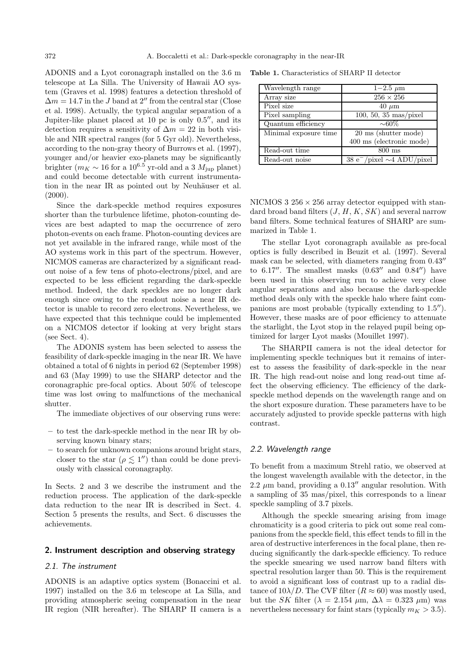ADONIS and a Lyot coronagraph installed on the 3.6 m telescope at La Silla. The University of Hawaii AO system (Graves et al. 1998) features a detection threshold of  $\Delta m = 14.7$  in the J band at 2" from the central star (Close et al. 1998). Actually, the typical angular separation of a Jupiter-like planet placed at 10 pc is only  $0.5$ ", and its detection requires a sensitivity of  $\Delta m = 22$  in both visible and NIR spectral ranges (for 5 Gyr old). Nevertheless, according to the non-gray theory of Burrows et al. (1997), younger and/or heavier exo-planets may be significantly brighter ( $m_K \sim 16$  for a  $10^{6.5}$  yr-old and a 3  $M_{\text{jup}}$  planet) and could become detectable with current instrumentation in the near IR as pointed out by Neuhäuser et al.  $(2000).$ 

Since the dark-speckle method requires exposures shorter than the turbulence lifetime, photon-counting devices are best adapted to map the occurrence of zero photon-events on each frame. Photon-counting devices are not yet available in the infrared range, while most of the AO systems work in this part of the spectrum. However, NICMOS cameras are characterized by a significant readout noise of a few tens of photo-electrons/pixel, and are expected to be less efficient regarding the dark-speckle method. Indeed, the dark speckles are no longer dark enough since owing to the readout noise a near IR detector is unable to record zero electrons. Nevertheless, we have expected that this technique could be implemented on a NICMOS detector if looking at very bright stars (see Sect. 4).

The ADONIS system has been selected to assess the feasibility of dark-speckle imaging in the near IR. We have obtained a total of 6 nights in period 62 (September 1998) and 63 (May 1999) to use the SHARP detector and the coronagraphic pre-focal optics. About 50% of telescope time was lost owing to malfunctions of the mechanical shutter.

The immediate objectives of our observing runs were:

- **–** to test the dark-speckle method in the near IR by observing known binary stars;
- **–** to search for unknown companions around bright stars, closer to the star ( $\rho \lesssim 1$ ") than could be done previously with classical coronagraphy.

In Sects. 2 and 3 we describe the instrument and the reduction process. The application of the dark-speckle data reduction to the near IR is described in Sect. 4. Section 5 presents the results, and Sect. 6 discusses the achievements.

# **2. Instrument description and observing strategy**

## 2.1. The instrument

ADONIS is an adaptive optics system (Bonaccini et al. 1997) installed on the 3.6 m telescope at La Silla, and providing atmospheric seeing compensation in the near IR region (NIR hereafter). The SHARP II camera is a

**Table 1.** Characteristics of SHARP II detector

| Wavelength range      | $1 - 2.5 \mu m$                    |
|-----------------------|------------------------------------|
| Array size            | $256 \times 256$                   |
| Pixel size            | $40 \mu m$                         |
| Pixel sampling        | 100, 50, 35 $\text{mas/pixel}$     |
| Quantum efficiency    | $\sim 60\%$                        |
| Minimal exposure time | 20 ms (shutter mode)               |
|                       | 400 ms (electronic mode)           |
| Read-out time         | $800$ ms                           |
| Read-out noise        | $38 e^-$ /pixel $\sim$ 4 ADU/pixel |

NICMOS  $3\,256\times256$  array detector equipped with standard broad band filters  $(J, H, K, SK)$  and several narrow band filters. Some technical features of SHARP are summarized in Table 1.

The stellar Lyot coronagraph available as pre-focal optics is fully described in Beuzit et al. (1997). Several mask can be selected, with diameters ranging from  $0.43$ <sup>"</sup> to  $6.17''$ . The smallest masks  $(0.63''$  and  $0.84'')$  have been used in this observing run to achieve very close angular separations and also because the dark-speckle method deals only with the speckle halo where faint companions are most probable (typically extending to  $1.5$ "). However, these masks are of poor efficiency to attenuate the starlight, the Lyot stop in the relayed pupil being optimized for larger Lyot masks (Mouillet 1997).

The SHARPII camera is not the ideal detector for implementing speckle techniques but it remains of interest to assess the feasibility of dark-speckle in the near IR. The high read-out noise and long read-out time affect the observing efficiency. The efficiency of the darkspeckle method depends on the wavelength range and on the short exposure duration. These parameters have to be accurately adjusted to provide speckle patterns with high contrast.

#### 2.2. Wavelength range

To benefit from a maximum Strehl ratio, we observed at the longest wavelength available with the detector, in the 2.2  $\mu$ m band, providing a 0.13" angular resolution. With a sampling of 35 mas/pixel, this corresponds to a linear speckle sampling of 3.7 pixels.

Although the speckle smearing arising from image chromaticity is a good criteria to pick out some real companions from the speckle field, this effect tends to fill in the area of destructive interferences in the focal plane, then reducing significantly the dark-speckle efficiency. To reduce the speckle smearing we used narrow band filters with spectral resolution larger than 50. This is the requirement to avoid a significant loss of contrast up to a radial distance of  $10\lambda/D$ . The CVF filter  $(R \approx 60)$  was mostly used, but the SK filter ( $\lambda = 2.154 \mu m$ ,  $\Delta \lambda = 0.323 \mu m$ ) was nevertheless necessary for faint stars (typically  $m_K > 3.5$ ).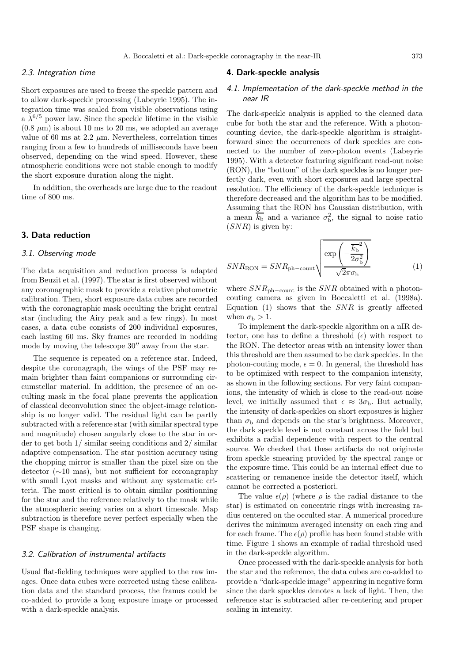# 2.3. Integration time

Short exposures are used to freeze the speckle pattern and to allow dark-speckle processing (Labeyrie 1995). The integration time was scaled from visible observations using a  $\lambda^{6/5}$  power law. Since the speckle lifetime in the visible  $(0.8 \mu m)$  is about 10 ms to 20 ms, we adopted an average value of 60 ms at  $2.2 \mu$ m. Nevertheless, correlation times ranging from a few to hundreds of milliseconds have been observed, depending on the wind speed. However, these atmospheric conditions were not stable enough to modify the short exposure duration along the night.

In addition, the overheads are large due to the readout time of 800 ms.

#### **3. Data reduction**

#### 3.1. Observing mode

The data acquisition and reduction process is adapted from Beuzit et al. (1997). The star is first observed without any coronagraphic mask to provide a relative photometric calibration. Then, short exposure data cubes are recorded with the coronagraphic mask occulting the bright central star (including the Airy peak and a few rings). In most cases, a data cube consists of 200 individual exposures, each lasting 60 ms. Sky frames are recorded in nodding mode by moving the telescope  $30''$  away from the star.

The sequence is repeated on a reference star. Indeed, despite the coronagraph, the wings of the PSF may remain brighter than faint companions or surrounding circumstellar material. In addition, the presence of an occulting mask in the focal plane prevents the application of classical deconvolution since the object-image relationship is no longer valid. The residual light can be partly subtracted with a reference star (with similar spectral type and magnitude) chosen angularly close to the star in order to get both 1/ similar seeing conditions and 2/ similar adaptive compensation. The star position accuracy using the chopping mirror is smaller than the pixel size on the detector (∼10 mas), but not sufficient for coronagraphy with small Lyot masks and without any systematic criteria. The most critical is to obtain similar positionning for the star and the reference relatively to the mask while the atmospheric seeing varies on a short timescale. Map subtraction is therefore never perfect especially when the PSF shape is changing.

# 3.2. Calibration of instrumental artifacts

Usual flat-fielding techniques were applied to the raw images. Once data cubes were corrected using these calibration data and the standard process, the frames could be co-added to provide a long exposure image or processed with a dark-speckle analysis.

#### **4. Dark-speckle analysis**

# 4.1. Implementation of the dark-speckle method in the near IR

The dark-speckle analysis is applied to the cleaned data cube for both the star and the reference. With a photoncounting device, the dark-speckle algorithm is straightforward since the occurrences of dark speckles are connected to the number of zero-photon events (Labeyrie 1995). With a detector featuring significant read-out noise (RON), the "bottom" of the dark speckles is no longer perfectly dark, even with short exposures and large spectral resolution. The efficiency of the dark-speckle technique is therefore decreased and the algorithm has to be modified. Assuming that the RON has Gaussian distribution, with a mean  $\overline{k_{\rm b}}$  and a variance  $\sigma_{\rm b}^2$ , the signal to noise ratio  $(SNR)$  is given by:

$$
SNR_{\text{RON}} = SNR_{\text{ph-count}} \sqrt{\frac{\exp\left(-\frac{\overline{k}_{\text{b}}^2}{2\sigma_{\text{b}}^2}\right)}{\sqrt{2}\pi\sigma_{\text{b}}}}
$$
(1)

where  $SNR_{\text{ph}-\text{count}}$  is the  $SNR$  obtained with a photoncouting camera as given in Boccaletti et al. (1998a). Equation  $(1)$  shows that the  $SNR$  is greatly affected when  $\sigma_{\rm b} > 1$ .

To implement the dark-speckle algorithm on a nIR detector, one has to define a threshold  $(\epsilon)$  with respect to the RON. The detector areas with an intensity lower than this threshold are then assumed to be dark speckles. In the photon-couting mode,  $\epsilon = 0$ . In general, the threshold has to be optimized with respect to the companion intensity, as shown in the following sections. For very faint companions, the intensity of which is close to the read-out noise level, we initially assumed that  $\epsilon \approx 3\sigma_{\rm b}$ . But actually, the intensity of dark-speckles on short exposures is higher than  $\sigma_{\rm b}$  and depends on the star's brightness. Moreover, the dark speckle level is not constant across the field but exhibits a radial dependence with respect to the central source. We checked that these artifacts do not originate from speckle smearing provided by the spectral range or the exposure time. This could be an internal effect due to scattering or remanence inside the detector itself, which cannot be corrected a posteriori.

The value  $\epsilon(\rho)$  (where  $\rho$  is the radial distance to the star) is estimated on concentric rings with increasing radius centered on the occulted star. A numerical procedure derives the minimum averaged intensity on each ring and for each frame. The  $\epsilon(\rho)$  profile has been found stable with time. Figure 1 shows an example of radial threshold used in the dark-speckle algorithm.

Once processed with the dark-speckle analysis for both the star and the reference, the data cubes are co-added to provide a "dark-speckle image" appearing in negative form since the dark speckles denotes a lack of light. Then, the reference star is subtracted after re-centering and proper scaling in intensity.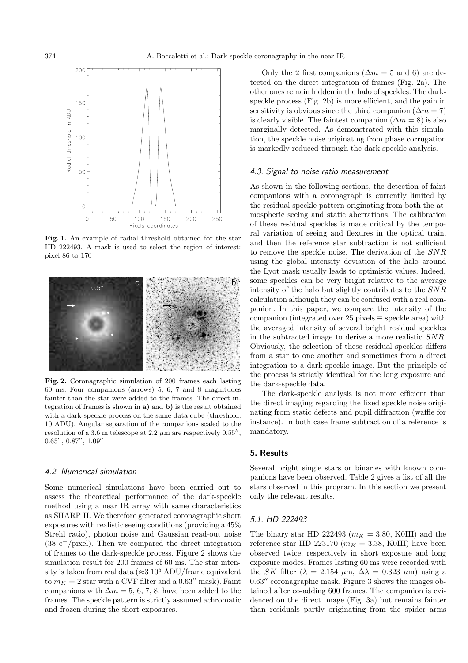

**Fig. 1.** An example of radial threshold obtained for the star HD 222493. A mask is used to select the region of interest: pixel 86 to 170



**Fig. 2.** Coronagraphic simulation of 200 frames each lasting 60 ms. Four companions (arrows) 5, 6, 7 and 8 magnitudes fainter than the star were added to the frames. The direct integration of frames is shown in **a)** and **b)** is the result obtained with a dark-speckle process on the same data cube (threshold: 10 ADU). Angular separation of the companions scaled to the resolution of a 3.6 m telescope at 2.2  $\mu$ m are respectively 0.55",  $0.65''$ ,  $0.87''$ ,  $1.09''$ 

## 4.2. Numerical simulation

Some numerical simulations have been carried out to assess the theoretical performance of the dark-speckle method using a near IR array with same characteristics as SHARP II. We therefore generated coronagraphic short exposures with realistic seeing conditions (providing a 45% Strehl ratio), photon noise and Gaussian read-out noise (38 e−/pixel). Then we compared the direct integration of frames to the dark-speckle process. Figure 2 shows the simulation result for 200 frames of 60 ms. The star intensity is taken from real data ( $\approx$ 3 10<sup>5</sup> ADU/frame equivalent to  $m_K = 2$  star with a CVF filter and a 0.63" mask). Faint companions with  $\Delta m = 5, 6, 7, 8$ , have been added to the frames. The speckle pattern is strictly assumed achromatic and frozen during the short exposures.

Only the 2 first companions ( $\Delta m = 5$  and 6) are detected on the direct integration of frames (Fig. 2a). The other ones remain hidden in the halo of speckles. The darkspeckle process (Fig. 2b) is more efficient, and the gain in sensitivity is obvious since the third companion  $(\Delta m = 7)$ is clearly visible. The faintest companion  $(\Delta m = 8)$  is also marginally detected. As demonstrated with this simulation, the speckle noise originating from phase corrugation is markedly reduced through the dark-speckle analysis.

#### 4.3. Signal to noise ratio measurement

As shown in the following sections, the detection of faint companions with a coronagraph is currently limited by the residual speckle pattern originating from both the atmospheric seeing and static aberrations. The calibration of these residual speckles is made critical by the temporal variation of seeing and flexures in the optical train, and then the reference star subtraction is not sufficient to remove the speckle noise. The derivation of the SNR using the global intensity deviation of the halo around the Lyot mask usually leads to optimistic values. Indeed, some speckles can be very bright relative to the average intensity of the halo but slightly contributes to the SNR calculation although they can be confused with a real companion. In this paper, we compare the intensity of the companion (integrated over 25 pixels  $\equiv$  speckle area) with the averaged intensity of several bright residual speckles in the subtracted image to derive a more realistic SNR. Obviously, the selection of these residual speckles differs from a star to one another and sometimes from a direct integration to a dark-speckle image. But the principle of the process is strictly identical for the long exposure and the dark-speckle data.

The dark-speckle analysis is not more efficient than the direct imaging regarding the fixed speckle noise originating from static defects and pupil diffraction (waffle for instance). In both case frame subtraction of a reference is mandatory.

#### **5. Results**

Several bright single stars or binaries with known companions have been observed. Table 2 gives a list of all the stars observed in this program. In this section we present only the relevant results.

#### 5.1. HD 222493

The binary star HD 222493 ( $m_K = 3.80$ , K0III) and the reference star HD 223170 ( $m_K = 3.38$ , K0III) have been observed twice, respectively in short exposure and long exposure modes. Frames lasting 60 ms were recorded with the SK filter ( $\lambda = 2.154 \mu m$ ,  $\Delta \lambda = 0.323 \mu m$ ) using a  $0.63''$  coronagraphic mask. Figure 3 shows the images obtained after co-adding 600 frames. The companion is evidenced on the direct image (Fig. 3a) but remains fainter than residuals partly originating from the spider arms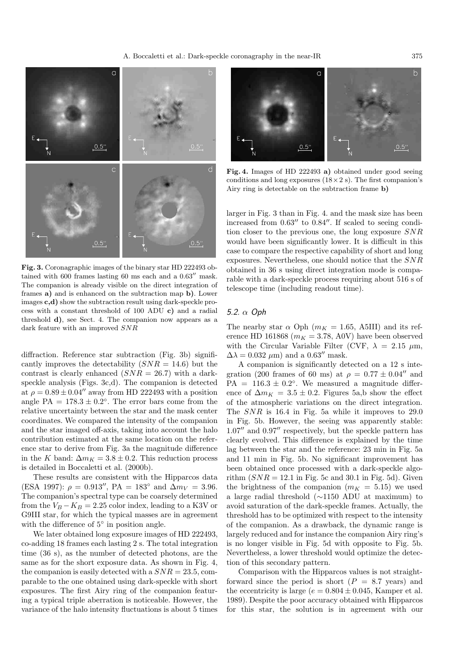

**Fig. 3.** Coronagraphic images of the binary star HD 222493 obtained with  $600$  frames lasting  $60$  ms each and a  $0.63$ <sup>"</sup> mask. The companion is already visible on the direct integration of frames **a)** and is enhanced on the subtraction map **b)**. Lower images **c,d)** show the subtraction result using dark-speckle process with a constant threshold of 100 ADU **c)** and a radial threshold **d)**, see Sect. 4. The companion now appears as a dark feature with an improved SNR

diffraction. Reference star subtraction (Fig. 3b) significantly improves the detectability  $(SNR = 14.6)$  but the contrast is clearly enhanced  $(SNR = 26.7)$  with a darkspeckle analysis (Figs. 3c,d). The companion is detected at  $\rho = 0.89 \pm 0.04$ <sup>n</sup> away from HD 222493 with a position angle PA =  $178.3 \pm 0.2$ °. The error bars come from the relative uncertainty between the star and the mask center coordinates. We compared the intensity of the companion and the star imaged off-axis, taking into account the halo contribution estimated at the same location on the reference star to derive from Fig. 3a the magnitude difference in the K band:  $\Delta m_K = 3.8 \pm 0.2$ . This reduction process is detailed in Boccaletti et al. (2000b).

These results are consistent with the Hipparcos data (ESA 1997):  $\rho = 0.913''$ , PA = 183° and  $\Delta m_V = 3.96$ . The companion's spectral type can be coarsely determined from the  $V_B - K_B = 2.25$  color index, leading to a K3V or G9III star, for which the typical masses are in agreement with the difference of 5<sup>°</sup> in position angle.

We later obtained long exposure images of HD 222493, co-adding 18 frames each lasting 2 s. The total integration time (36 s), as the number of detected photons, are the same as for the short exposure data. As shown in Fig. 4, the companion is easily detected with a  $SNR = 23.5$ , comparable to the one obtained using dark-speckle with short exposures. The first Airy ring of the companion featuring a typical triple aberration is noticeable. However, the variance of the halo intensity fluctuations is about 5 times



**Fig. 4.** Images of HD 222493 **a)** obtained under good seeing conditions and long exposures  $(18 \times 2 \text{ s})$ . The first companion's Airy ring is detectable on the subtraction frame **b)**

larger in Fig. 3 than in Fig. 4. and the mask size has been increased from  $0.63''$  to  $0.84''$ . If scaled to seeing condition closer to the previous one, the long exposure SNR would have been significantly lower. It is difficult in this case to compare the respective capability of short and long exposures. Nevertheless, one should notice that the SNR obtained in 36 s using direct integration mode is comparable with a dark-speckle process requiring about 516 s of telescope time (including readout time).

## 5.2.  $\alpha$  Oph

The nearby star  $\alpha$  Oph ( $m_K = 1.65$ , A5III) and its reference HD 161868 ( $m_K = 3.78$ , A0V) have been observed with the Circular Variable Filter (CVF,  $\lambda = 2.15 \mu m$ ,  $\Delta\lambda = 0.032 \ \mu \text{m}$  and a  $0.63''$  mask.

A companion is significantly detected on a 12 s integration (200 frames of 60 ms) at  $\rho = 0.77 \pm 0.04$ <sup>n</sup> and  $PA = 116.3 \pm 0.2$ °. We measured a magnitude difference of  $\Delta m_K = 3.5 \pm 0.2$ . Figures 5a,b show the effect of the atmospheric variations on the direct integration. The SNR is 16.4 in Fig. 5a while it improves to 29.0 in Fig. 5b. However, the seeing was apparently stable:  $1.07''$  and  $0.97''$  respectively, but the speckle pattern has clearly evolved. This difference is explained by the time lag between the star and the reference: 23 min in Fig. 5a and 11 min in Fig. 5b. No significant improvement has been obtained once processed with a dark-speckle algorithm  $(SNR = 12.1$  in Fig. 5c and 30.1 in Fig. 5d). Given the brightness of the companion  $(m_K = 5.15)$  we used a large radial threshold (∼1150 ADU at maximum) to avoid saturation of the dark-speckle frames. Actually, the threshold has to be optimized with respect to the intensity of the companion. As a drawback, the dynamic range is largely reduced and for instance the companion Airy ring's is no longer visible in Fig. 5d with opposite to Fig. 5b. Nevertheless, a lower threshold would optimize the detection of this secondary pattern.

Comparison with the Hipparcos values is not straightforward since the period is short  $(P = 8.7 \text{ years})$  and the eccentricity is large ( $e = 0.804 \pm 0.045$ , Kamper et al. 1989). Despite the poor accuracy obtained with Hipparcos for this star, the solution is in agreement with our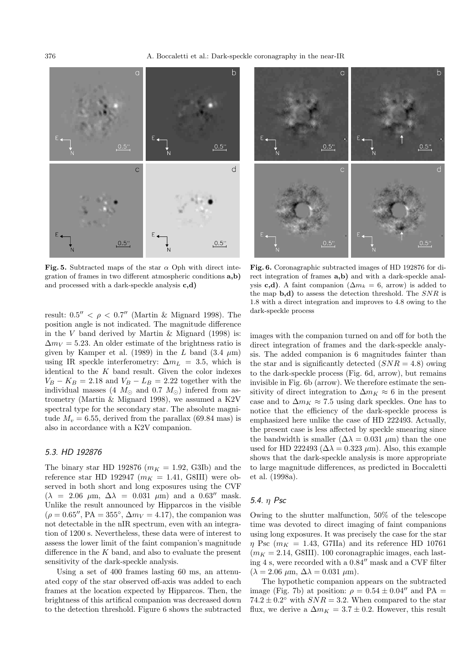376 A. Boccaletti et al.: Dark-speckle coronagraphy in the near-IR



**Fig. 5.** Subtracted maps of the star  $\alpha$  Oph with direct integration of frames in two different atmospheric conditions **a,b)** and processed with a dark-speckle analysis **c,d)**

result:  $0.5'' < \rho < 0.7''$  (Martin & Mignard 1998). The position angle is not indicated. The magnitude difference in the V band derived by Martin  $\&$  Mignard (1998) is:  $\Delta m_V = 5.23$ . An older estimate of the brightness ratio is given by Kamper et al. (1989) in the  $L$  band (3.4  $\mu$ m) using IR speckle interferometry:  $\Delta m_L = 3.5$ , which is identical to the  $K$  band result. Given the color indexes  $V_B - K_B = 2.18$  and  $V_B - L_B = 2.22$  together with the individual masses (4  $M_{\odot}$  and 0.7  $M_{\odot}$ ) inferred from astrometry (Martin & Mignard 1998), we assumed a K2V spectral type for the secondary star. The absolute magnitude  $M_v = 6.55$ , derived from the parallax (69.84 mas) is also in accordance with a K2V companion.

# 5.3. HD 192876

The binary star HD 192876 ( $m_K = 1.92$ , G3Ib) and the reference star HD 192947 ( $m_K = 1.41$ , G8III) were observed in both short and long exposures using the CVF  $(\lambda = 2.06 \mu \text{m}, \Delta \lambda = 0.031 \mu \text{m})$  and a  $0.63''$  mask. Unlike the result announced by Hipparcos in the visible  $(\rho = 0.65'', PA = 355^{\circ}, \Delta m_V = 4.17)$ , the companion was not detectable in the nIR spectrum, even with an integration of 1200 s. Nevertheless, these data were of interest to assess the lower limit of the faint companion's magnitude difference in the  $K$  band, and also to evaluate the present sensitivity of the dark-speckle analysis.

Using a set of 400 frames lasting 60 ms, an attenuated copy of the star observed off-axis was added to each frames at the location expected by Hipparcos. Then, the brightness of this artifical companion was decreased down to the detection threshold. Figure 6 shows the subtracted



**Fig. 6.** Coronagraphic subtracted images of HD 192876 for direct integration of frames **a,b)** and with a dark-speckle analysis **c,d**). A faint companion ( $\Delta m_k = 6$ , arrow) is added to the map **b,d)** to assess the detection threshold. The SNR is 1.8 with a direct integration and improves to 4.8 owing to the dark-speckle process

images with the companion turned on and off for both the direct integration of frames and the dark-speckle analysis. The added companion is 6 magnitudes fainter than the star and is significantly detected  $(SNR = 4.8)$  owing to the dark-speckle process (Fig. 6d, arrow), but remains invisible in Fig. 6b (arrow). We therefore estimate the sensitivity of direct integration to  $\Delta m_K \approx 6$  in the present case and to  $\Delta m_K \approx 7.5$  using dark speckles. One has to notice that the efficiency of the dark-speckle process is emphasized here unlike the case of HD 222493. Actually, the present case is less affected by speckle smearing since the bandwidth is smaller  $(\Delta \lambda = 0.031 \ \mu \text{m})$  than the one used for HD 222493 ( $\Delta \lambda = 0.323 \ \mu \text{m}$ ). Also, this example shows that the dark-speckle analysis is more appropriate to large magnitude differences, as predicted in Boccaletti et al. (1998a).

# 5.4. η Psc

Owing to the shutter malfunction, 50% of the telescope time was devoted to direct imaging of faint companions using long exposures. It was precisely the case for the star  $\eta$  Psc ( $m_K = 1.43$ , G7IIa) and its reference HD 10761  $(m_K = 2.14, \text{G8III})$ . 100 coronagraphic images, each lasting 4 s, were recorded with a  $0.84$ <sup>"</sup> mask and a CVF filter  $(\lambda = 2.06 \ \mu \text{m}, \ \Delta \lambda = 0.031 \ \mu \text{m}).$ 

The hypothetic companion appears on the subtracted image (Fig. 7b) at position:  $\rho = 0.54 \pm 0.04$ <sup>n</sup> and PA =  $74.2 \pm 0.2$ ° with  $SNR = 3.2$ . When compared to the star flux, we derive a  $\Delta m_K = 3.7 \pm 0.2$ . However, this result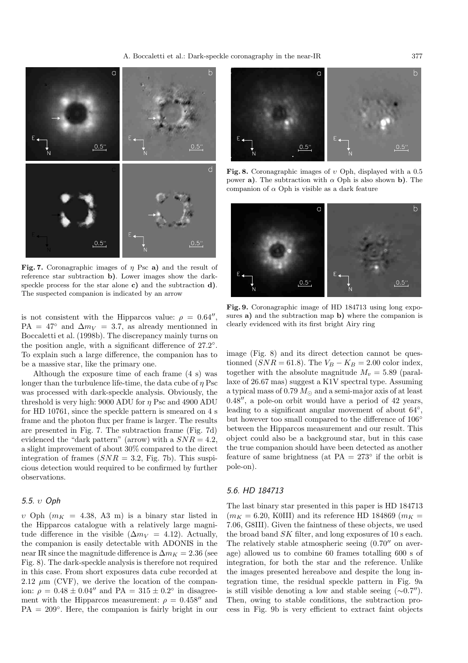

**Fig. 7.** Coronagraphic images of η Psc **a)** and the result of reference star subtraction **b)**. Lower images show the darkspeckle process for the star alone **c)** and the subtraction **d)**. The suspected companion is indicated by an arrow

is not consistent with the Hipparcos value:  $\rho = 0.64''$ , PA = 47° and  $\Delta m_V$  = 3.7, as already mentionned in Boccaletti et al. (1998b). The discrepancy mainly turns on the position angle, with a significant difference of 27.2◦. To explain such a large difference, the companion has to be a massive star, like the primary one.

Although the exposure time of each frame (4 s) was longer than the turbulence life-time, the data cube of  $\eta$  Psc was processed with dark-speckle analysis. Obviously, the threshold is very high: 9000 ADU for  $\eta$  Psc and 4900 ADU for HD 10761, since the speckle pattern is smeared on 4 s frame and the photon flux per frame is larger. The results are presented in Fig. 7. The subtraction frame (Fig. 7d) evidenced the "dark pattern" (arrow) with a  $SNR = 4.2$ , a slight improvement of about 30% compared to the direct integration of frames  $(SNR = 3.2, Fig. 7b)$ . This suspicious detection would required to be confirmed by further observations.

# 5.5. υ Oph

v Oph  $(m_K = 4.38, A3 \text{ m})$  is a binary star listed in the Hipparcos catalogue with a relatively large magnitude difference in the visible ( $\Delta m_V = 4.12$ ). Actually, the companion is easily detectable with ADONIS in the near IR since the magnitude difference is  $\Delta m_K = 2.36$  (see Fig. 8). The dark-speckle analysis is therefore not required in this case. From short exposures data cube recorded at 2.12  $\mu$ m (CVF), we derive the location of the companion:  $\rho = 0.48 \pm 0.04''$  and PA =  $315 \pm 0.2°$  in disagreement with the Hipparcos measurement:  $\rho = 0.458''$  and  $PA = 209^\circ$ . Here, the companion is fairly bright in our



**Fig. 8.** Coronagraphic images of υ Oph, displayed with a 0.5 power **a**). The subtraction with  $\alpha$  Oph is also shown **b**). The companion of  $\alpha$  Oph is visible as a dark feature



**Fig. 9.** Coronagraphic image of HD 184713 using long exposures **a)** and the subtraction map **b)** where the companion is clearly evidenced with its first bright Airy ring

image (Fig. 8) and its direct detection cannot be questionned ( $SNR = 61.8$ ). The  $V_B - K_B = 2.00$  color index, together with the absolute magnitude  $M_v = 5.89$  (parallaxe of 26.67 mas) suggest a K1V spectral type. Assuming a typical mass of 0.79  $M_{\odot}$  and a semi-major axis of at least  $0.48''$ , a pole-on orbit would have a period of  $42$  years, leading to a significant angular movement of about 64◦, but however too small compared to the difference of 106<sup>°</sup> between the Hipparcos measurement and our result. This object could also be a background star, but in this case the true companion should have been detected as another feature of same brightness (at PA =  $273^\circ$  if the orbit is pole-on).

### 5.6. HD 184713

The last binary star presented in this paper is HD 184713  $(m_K = 6.20, K0III)$  and its reference HD 184869  $(m_K =$ 7.06, G8III). Given the faintness of these objects, we used the broad band SK filter, and long exposures of 10 s each. The relatively stable atmospheric seeing  $(0.70$ <sup>"</sup> on average) allowed us to combine 60 frames totalling 600 s of integration, for both the star and the reference. Unlike the images presented hereabove and despite the long integration time, the residual speckle pattern in Fig. 9a is still visible denoting a low and stable seeing  $(\sim 0.7'')$ . Then, owing to stable conditions, the subtraction process in Fig. 9b is very efficient to extract faint objects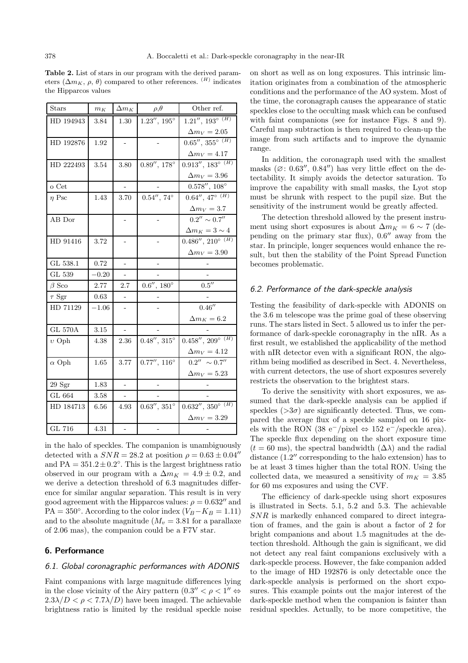**Table 2.** List of stars in our program with the derived parameters  $(\Delta m_K, \rho, \theta)$  compared to other references. <sup>(H)</sup> indicates the Hipparcos values

| <b>Stars</b>   | $m_K$    | $\Delta m_K$             | $\rho, \theta$           | Other ref.                                  |
|----------------|----------|--------------------------|--------------------------|---------------------------------------------|
| HD 194943      | 3.84     | 1.30                     | $1.23''$ , $195^{\circ}$ | $1.21'', 193^{\circ}$ <sup>(H)</sup>        |
|                |          |                          |                          | $\Delta m_V=2.05$                           |
| HD 192876      | 1.92     |                          |                          | $0.65'', 355^{\circ}$ <sup>(H)</sup>        |
|                |          |                          |                          | $\Delta m_V=4.17$                           |
| HD 222493      | 3.54     | 3.80                     | $0.89'', 178^\circ$      | $0.913''$ , $183^{\circ}$ <sup>(H)</sup>    |
|                |          |                          |                          | $\Delta m_V = 3.96$                         |
| $o$ Cet        |          |                          |                          | $0.578^{\prime\prime},\,108^\circ$          |
| $\eta$ Psc     | 1.43     | 3.70                     | $0.54'', 74^{\circ}$     | $0.64'', 47^{\circ}$ <sup>(H)</sup>         |
|                |          |                          |                          | $\Delta m_V = 3.7$                          |
| AB Dor         |          | -                        |                          | $0.2^{\prime\prime}\sim 0.7^{\prime\prime}$ |
|                |          |                          |                          | $\Delta m_K = 3 \sim 4$                     |
| HD 91416       | $3.72\,$ |                          |                          | $0.486''$ , $210^{\circ}$ <sup>(H)</sup>    |
|                |          |                          |                          | $\Delta m_V = 3.90$                         |
| GL 538.1       | 0.72     | $\overline{a}$           |                          |                                             |
| GL 539         | $-0.20$  |                          |                          |                                             |
| $\beta$ Sco    | 2.77     | 2.7                      | $0.6'', 180^\circ$       | $0.5^{\prime\prime}$                        |
| $\tau$ Sgr     | 0.63     |                          |                          |                                             |
| HD 71129       | $-1.06$  | $\overline{a}$           |                          | 0.46''                                      |
|                |          |                          |                          | $\Delta m_K = 6.2$                          |
| <b>GL 570A</b> | 3.15     |                          |                          |                                             |
| $v$ Oph        | 4.38     | 2.36                     | $0.48'', 315^{\circ}$    | $0.458''$ , $209^{\circ}$ <sup>(H)</sup>    |
|                |          |                          |                          | $\Delta m_V=4.12$                           |
| $\alpha$ Oph   | $1.65\,$ | 3.77                     | $0.77'', 116^{\circ}$    | $\overline{0.2''} \sim 0.7''$               |
|                |          |                          |                          | $\Delta m_V = 5.23$                         |
| 29Sgr          | 1.83     |                          |                          |                                             |
| GL 664         | 3.58     | $\overline{\phantom{0}}$ |                          |                                             |
| HD 184713      | 6.56     | 4.93                     | $0.63'', 351^\circ$      | $0.632'', 350^{\circ}$ <sup>(H)</sup>       |
|                |          |                          |                          | $\Delta m_V = 3.29$                         |
| GL 716         | $4.31\,$ | ÷,                       |                          |                                             |

in the halo of speckles. The companion is unambiguously detected with a  $SNR = 28.2$  at position  $\rho = 0.63 \pm 0.04$ <sup>n</sup> and  $PA = 351.2 \pm 0.2$ °. This is the largest brightness ratio observed in our program with a  $\Delta m_K = 4.9 \pm 0.2$ , and we derive a detection threshold of 6.3 magnitudes difference for similar angular separation. This result is in very good agreement with the Hipparcos values:  $\rho = 0.632''$  and PA = 350°. According to the color index ( $V_B - K_B = 1.11$ ) and to the absolute magnitude  $(M_v = 3.81$  for a parallaxe of 2.06 mas), the companion could be a F7V star.

# **6. Performance**

# 6.1. Global coronagraphic performances with ADONIS

Faint companions with large magnitude differences lying in the close vicinity of the Airy pattern  $(0.3'' < \rho < 1'' \Leftrightarrow$  $2.3\lambda/D < \rho < 7.7\lambda/D$  have been imaged. The achievable brightness ratio is limited by the residual speckle noise on short as well as on long exposures. This intrinsic limitation originates from a combination of the atmospheric conditions and the performance of the AO system. Most of the time, the coronagraph causes the appearance of static speckles close to the occulting mask which can be confused with faint companions (see for instance Figs. 8 and 9). Careful map subtraction is then required to clean-up the image from such artifacts and to improve the dynamic range.

In addition, the coronagraph used with the smallest masks  $(\emptyset: 0.63'', 0.84'')$  has very little effect on the detectability. It simply avoids the detector saturation. To improve the capability with small masks, the Lyot stop must be shrunk with respect to the pupil size. But the sensitivity of the instrument would be greatly affected.

The detection threshold allowed by the present instrument using short exposures is about  $\Delta m_K = 6 \sim 7$  (depending on the primary star flux),  $0.6$ <sup>"</sup> away from the star. In principle, longer sequences would enhance the result, but then the stability of the Point Spread Function becomes problematic.

## 6.2. Performance of the dark-speckle analysis

Testing the feasibility of dark-speckle with ADONIS on the 3.6 m telescope was the prime goal of these observing runs. The stars listed in Sect. 5 allowed us to infer the performance of dark-speckle coronagraphy in the nIR. As a first result, we established the applicability of the method with nIR detector even with a significant RON, the algorithm being modified as described in Sect. 4. Nevertheless, with current detectors, the use of short exposures severely restricts the observation to the brightest stars.

To derive the sensitivity with short exposures, we assumed that the dark-speckle analysis can be applied if speckles  $(>\!\!3\sigma)$  are significantly detected. Thus, we compared the average flux of a speckle sampled on 16 pixels with the RON (38 e<sup>-</sup>/pixel ⇔ 152 e<sup>-</sup>/speckle area). The speckle flux depending on the short exposure time  $(t = 60 \text{ ms})$ , the spectral bandwidth  $(\Delta \lambda)$  and the radial distance  $(1.2$ <sup>"</sup> corresponding to the halo extension) has to be at least 3 times higher than the total RON. Using the collected data, we measured a sensitivity of  $m_K = 3.85$ for 60 ms exposures and using the CVF.

The efficiency of dark-speckle using short exposures is illustrated in Sects. 5.1, 5.2 and 5.3. The achievable SNR is markedly enhanced compared to direct integration of frames, and the gain is about a factor of 2 for bright companions and about 1.5 magnitudes at the detection threshold. Although the gain is significant, we did not detect any real faint companions exclusively with a dark-speckle process. However, the fake companion added to the image of HD 192876 is only detectable once the dark-speckle analysis is performed on the short exposures. This example points out the major interest of the dark-speckle method when the companion is fainter than residual speckles. Actually, to be more competitive, the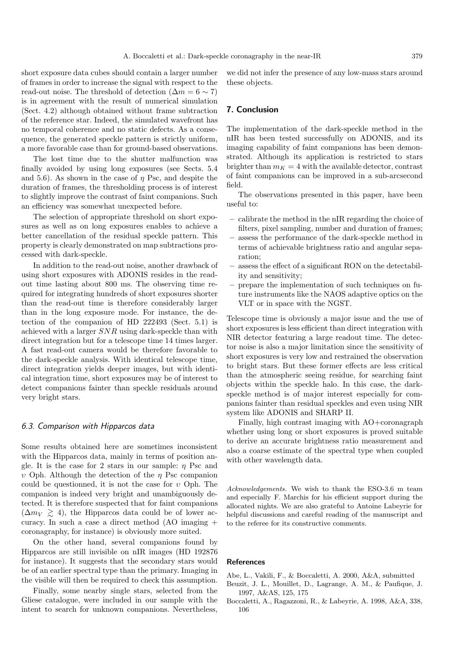short exposure data cubes should contain a larger number of frames in order to increase the signal with respect to the read-out noise. The threshold of detection  $(\Delta m = 6 \sim 7)$ is in agreement with the result of numerical simulation (Sect. 4.2) although obtained without frame subtraction of the reference star. Indeed, the simulated wavefront has no temporal coherence and no static defects. As a consequence, the generated speckle pattern is strictly uniform, a more favorable case than for ground-based observations.

The lost time due to the shutter malfunction was finally avoided by using long exposures (see Sects. 5.4 and 5.6). As shown in the case of  $\eta$  Psc, and despite the duration of frames, the thresholding process is of interest to slightly improve the contrast of faint companions. Such an efficiency was somewhat unexpected before.

The selection of appropriate threshold on short exposures as well as on long exposures enables to achieve a better cancellation of the residual speckle pattern. This property is clearly demonstrated on map subtractions processed with dark-speckle.

In addition to the read-out noise, another drawback of using short exposures with ADONIS resides in the readout time lasting about 800 ms. The observing time required for integrating hundreds of short exposures shorter than the read-out time is therefore considerably larger than in the long exposure mode. For instance, the detection of the companion of HD 222493 (Sect. 5.1) is achieved with a larger SNR using dark-speckle than with direct integration but for a telescope time 14 times larger. A fast read-out camera would be therefore favorable to the dark-speckle analysis. With identical telescope time, direct integration yields deeper images, but with identical integration time, short exposures may be of interest to detect companions fainter than speckle residuals around very bright stars.

#### 6.3. Comparison with Hipparcos data

Some results obtained here are sometimes inconsistent with the Hipparcos data, mainly in terms of position angle. It is the case for 2 stars in our sample:  $\eta$  Psc and υ Oph. Although the detection of the η Psc companion could be questionned, it is not the case for  $v$  Oph. The companion is indeed very bright and unambiguously detected. It is therefore suspected that for faint companions  $(\Delta m_V \ge 4)$ , the Hipparcos data could be of lower accuracy. In such a case a direct method (AO imaging + coronagraphy, for instance) is obviously more suited.

On the other hand, several companions found by Hipparcos are still invisible on nIR images (HD 192876 for instance). It suggests that the secondary stars would be of an earlier spectral type than the primary. Imaging in the visible will then be required to check this assumption.

Finally, some nearby single stars, selected from the Gliese catalogue, were included in our sample with the intent to search for unknown companions. Nevertheless,

we did not infer the presence of any low-mass stars around these objects.

#### **7. Conclusion**

The implementation of the dark-speckle method in the nIR has been tested successfully on ADONIS, and its imaging capability of faint companions has been demonstrated. Although its application is restricted to stars brighter than  $m_K = 4$  with the available detector, contrast of faint companions can be improved in a sub-arcsecond field.

The observations presented in this paper, have been useful to:

- **–** calibrate the method in the nIR regarding the choice of filters, pixel sampling, number and duration of frames;
- **–** assess the performance of the dark-speckle method in terms of achievable brightness ratio and angular separation;
- **–** assess the effect of a significant RON on the detectability and sensitivity;
- **–** prepare the implementation of such techniques on future instruments like the NAOS adaptive optics on the VLT or in space with the NGST.

Telescope time is obviously a major issue and the use of short exposures is less efficient than direct integration with NIR detector featuring a large readout time. The detector noise is also a major limitation since the sensitivity of short exposures is very low and restrained the observation to bright stars. But these former effects are less critical than the atmospheric seeing residue, for searching faint objects within the speckle halo. In this case, the darkspeckle method is of major interest especially for companions fainter than residual speckles and even using NIR system like ADONIS and SHARP II.

Finally, high contrast imaging with AO+coronagraph whether using long or short exposures is proved suitable to derive an accurate brightness ratio measurement and also a coarse estimate of the spectral type when coupled with other wavelength data.

Acknowledgements. We wish to thank the ESO-3.6 m team and especially F. Marchis for his efficient support during the allocated nights. We are also grateful to Antoine Labeyrie for helpful discussions and careful reading of the manuscript and to the referee for its constructive comments.

#### **References**

Abe, L., Vakili, F., & Boccaletti, A. 2000, A&A, submitted

- Beuzit, J. L., Mouillet, D., Lagrange, A. M., & Paufique, J. 1997, A&AS, 125, 175
- Boccaletti, A., Ragazzoni, R., & Labeyrie, A. 1998, A&A, 338, 106